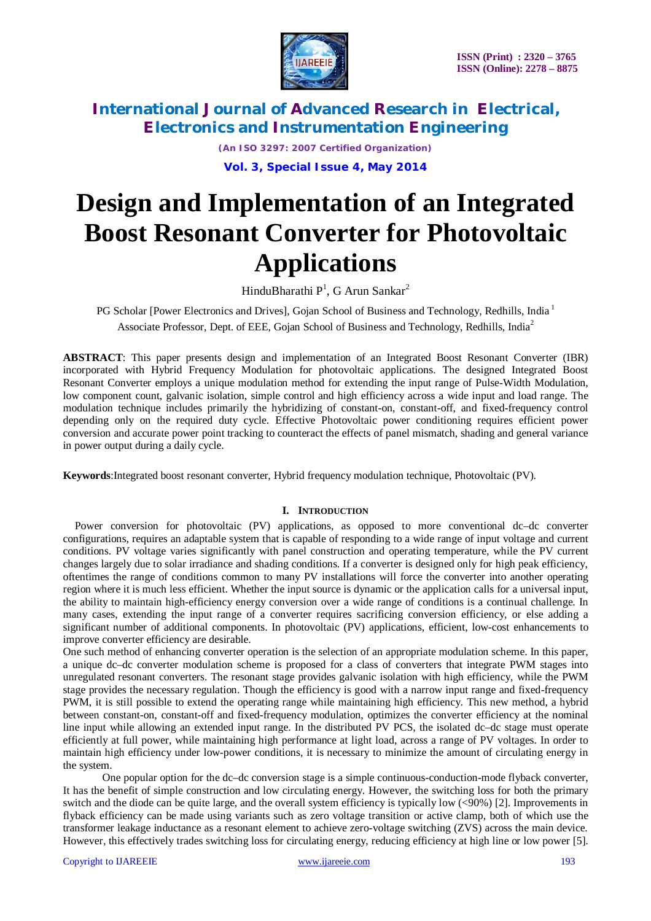

*(An ISO 3297: 2007 Certified Organization)*

**Vol. 3, Special Issue 4, May 2014**

# **Design and Implementation of an Integrated Boost Resonant Converter for Photovoltaic Applications**

HinduBharathi  $P<sup>1</sup>$ , G Arun Sankar<sup>2</sup>

PG Scholar [Power Electronics and Drives], Gojan School of Business and Technology, Redhills, India<sup>1</sup> Associate Professor, Dept. of EEE, Gojan School of Business and Technology, Redhills, India<sup>2</sup>

**ABSTRACT**: This paper presents design and implementation of an Integrated Boost Resonant Converter (IBR) incorporated with Hybrid Frequency Modulation for photovoltaic applications. The designed Integrated Boost Resonant Converter employs a unique modulation method for extending the input range of Pulse-Width Modulation, low component count, galvanic isolation, simple control and high efficiency across a wide input and load range. The modulation technique includes primarily the hybridizing of constant-on, constant-off, and fixed-frequency control depending only on the required duty cycle. Effective Photovoltaic power conditioning requires efficient power conversion and accurate power point tracking to counteract the effects of panel mismatch, shading and general variance in power output during a daily cycle.

**Keywords**:Integrated boost resonant converter, Hybrid frequency modulation technique, Photovoltaic (PV).

#### **I. INTRODUCTION**

Power conversion for photovoltaic (PV) applications, as opposed to more conventional dc–dc converter configurations, requires an adaptable system that is capable of responding to a wide range of input voltage and current conditions. PV voltage varies significantly with panel construction and operating temperature, while the PV current changes largely due to solar irradiance and shading conditions. If a converter is designed only for high peak efficiency, oftentimes the range of conditions common to many PV installations will force the converter into another operating region where it is much less efficient. Whether the input source is dynamic or the application calls for a universal input, the ability to maintain high-efficiency energy conversion over a wide range of conditions is a continual challenge. In many cases, extending the input range of a converter requires sacrificing conversion efficiency, or else adding a significant number of additional components. In photovoltaic (PV) applications, efficient, low-cost enhancements to improve converter efficiency are desirable.

One such method of enhancing converter operation is the selection of an appropriate modulation scheme. In this paper, a unique dc–dc converter modulation scheme is proposed for a class of converters that integrate PWM stages into unregulated resonant converters. The resonant stage provides galvanic isolation with high efficiency, while the PWM stage provides the necessary regulation. Though the efficiency is good with a narrow input range and fixed-frequency PWM, it is still possible to extend the operating range while maintaining high efficiency. This new method, a hybrid between constant-on, constant-off and fixed-frequency modulation, optimizes the converter efficiency at the nominal line input while allowing an extended input range. In the distributed PV PCS, the isolated dc–dc stage must operate efficiently at full power, while maintaining high performance at light load, across a range of PV voltages. In order to maintain high efficiency under low-power conditions, it is necessary to minimize the amount of circulating energy in the system.

One popular option for the dc–dc conversion stage is a simple continuous-conduction-mode flyback converter, It has the benefit of simple construction and low circulating energy. However, the switching loss for both the primary switch and the diode can be quite large, and the overall system efficiency is typically low (<90%) [2]. Improvements in flyback efficiency can be made using variants such as zero voltage transition or active clamp, both of which use the transformer leakage inductance as a resonant element to achieve zero-voltage switching (ZVS) across the main device. However, this effectively trades switching loss for circulating energy, reducing efficiency at high line or low power [5].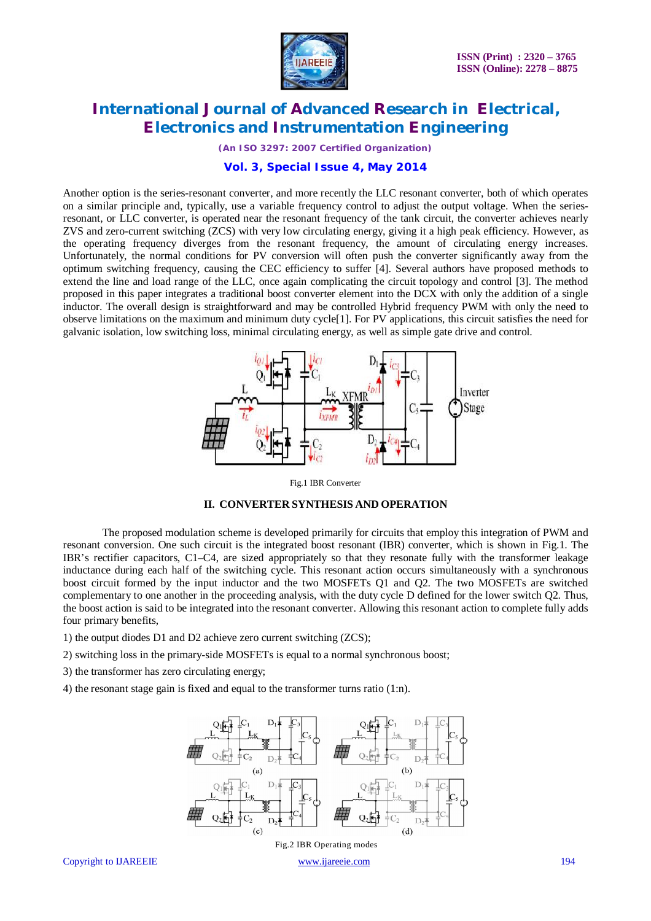

*(An ISO 3297: 2007 Certified Organization)*

### **Vol. 3, Special Issue 4, May 2014**

Another option is the series-resonant converter, and more recently the LLC resonant converter, both of which operates on a similar principle and, typically, use a variable frequency control to adjust the output voltage. When the seriesresonant, or LLC converter, is operated near the resonant frequency of the tank circuit, the converter achieves nearly ZVS and zero-current switching (ZCS) with very low circulating energy, giving it a high peak efficiency. However, as the operating frequency diverges from the resonant frequency, the amount of circulating energy increases. Unfortunately, the normal conditions for PV conversion will often push the converter significantly away from the optimum switching frequency, causing the CEC efficiency to suffer [4]. Several authors have proposed methods to extend the line and load range of the LLC, once again complicating the circuit topology and control [3]. The method proposed in this paper integrates a traditional boost converter element into the DCX with only the addition of a single inductor. The overall design is straightforward and may be controlled Hybrid frequency PWM with only the need to observe limitations on the maximum and minimum duty cycle[1]. For PV applications, this circuit satisfies the need for galvanic isolation, low switching loss, minimal circulating energy, as well as simple gate drive and control.



Fig.1 IBR Converter



The proposed modulation scheme is developed primarily for circuits that employ this integration of PWM and resonant conversion. One such circuit is the integrated boost resonant (IBR) converter, which is shown in Fig.1. The IBR's rectifier capacitors, C1–C4, are sized appropriately so that they resonate fully with the transformer leakage inductance during each half of the switching cycle. This resonant action occurs simultaneously with a synchronous boost circuit formed by the input inductor and the two MOSFETs Q1 and Q2. The two MOSFETs are switched complementary to one another in the proceeding analysis, with the duty cycle D defined for the lower switch Q2. Thus, the boost action is said to be integrated into the resonant converter. Allowing this resonant action to complete fully adds four primary benefits,

- 1) the output diodes D1 and D2 achieve zero current switching (ZCS);
- 2) switching loss in the primary-side MOSFETs is equal to a normal synchronous boost;
- 3) the transformer has zero circulating energy;
- 4) the resonant stage gain is fixed and equal to the transformer turns ratio (1:n).

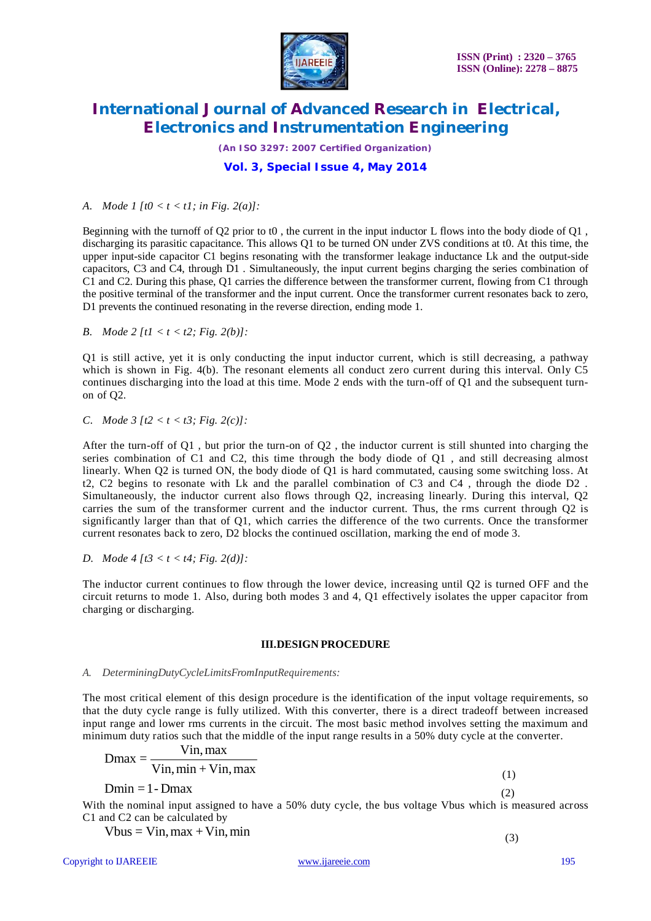

*(An ISO 3297: 2007 Certified Organization)*

### **Vol. 3, Special Issue 4, May 2014**

*A. Mode 1 [t0 < t < t1; in Fig. 2(a)]:*

Beginning with the turnoff of Q2 prior to t0 , the current in the input inductor L flows into the body diode of Q1 , discharging its parasitic capacitance. This allows Q1 to be turned ON under ZVS conditions at t0. At this time, the upper input-side capacitor C1 begins resonating with the transformer leakage inductance Lk and the output-side capacitors, C3 and C4, through D1 . Simultaneously, the input current begins charging the series combination of C1 and C2. During this phase, Q1 carries the difference between the transformer current, flowing from C1 through the positive terminal of the transformer and the input current. Once the transformer current resonates back to zero, D1 prevents the continued resonating in the reverse direction, ending mode 1.

*B. Mode 2 [t1 < t < t2; Fig. 2(b)]:*

Q1 is still active, yet it is only conducting the input inductor current, which is still decreasing, a pathway which is shown in Fig. 4(b). The resonant elements all conduct zero current during this interval. Only C5 continues discharging into the load at this time. Mode 2 ends with the turn-off of Q1 and the subsequent turnon of Q2.

*C. Mode 3 [t2 < t < t3; Fig. 2(c)]:*

After the turn-off of Q1, but prior the turn-on of  $Q2$ , the inductor current is still shunted into charging the series combination of C1 and C2, this time through the body diode of Q1 , and still decreasing almost linearly. When Q2 is turned ON, the body diode of Q1 is hard commutated, causing some switching loss. At t2, C2 begins to resonate with Lk and the parallel combination of C3 and C4 , through the diode D2 . Simultaneously, the inductor current also flows through Q2, increasing linearly. During this interval, Q2 carries the sum of the transformer current and the inductor current. Thus, the rms current through Q2 is significantly larger than that of Q1, which carries the difference of the two currents. Once the transformer current resonates back to zero, D2 blocks the continued oscillation, marking the end of mode 3.

*D. Mode 4 [t3 < t < t4; Fig. 2(d)]:*

The inductor current continues to flow through the lower device, increasing until Q2 is turned OFF and the circuit returns to mode 1. Also, during both modes 3 and 4, Q1 effectively isolates the upper capacitor from charging or discharging.

#### **III.DESIGN PROCEDURE**

#### *A. DeterminingDutyCycleLimitsFromInputRequirements:*

The most critical element of this design procedure is the identification of the input voltage requirements, so that the duty cycle range is fully utilized. With this converter, there is a direct tradeoff between increased input range and lower rms currents in the circuit. The most basic method involves setting the maximum and minimum duty ratios such that the middle of the input range results in a 50% duty cycle at the converter.

$$
Dmax = \frac{Vin, max}{Vin, min + Vin, max}
$$
 (1)

 $Dmin = 1 - Dmax$  (2)

With the nominal input assigned to have a 50% duty cycle, the bus voltage Vbus which is measured across C1 and C2 can be calculated by

 $Vbus = Vin, max + Vin, min$ 

(3)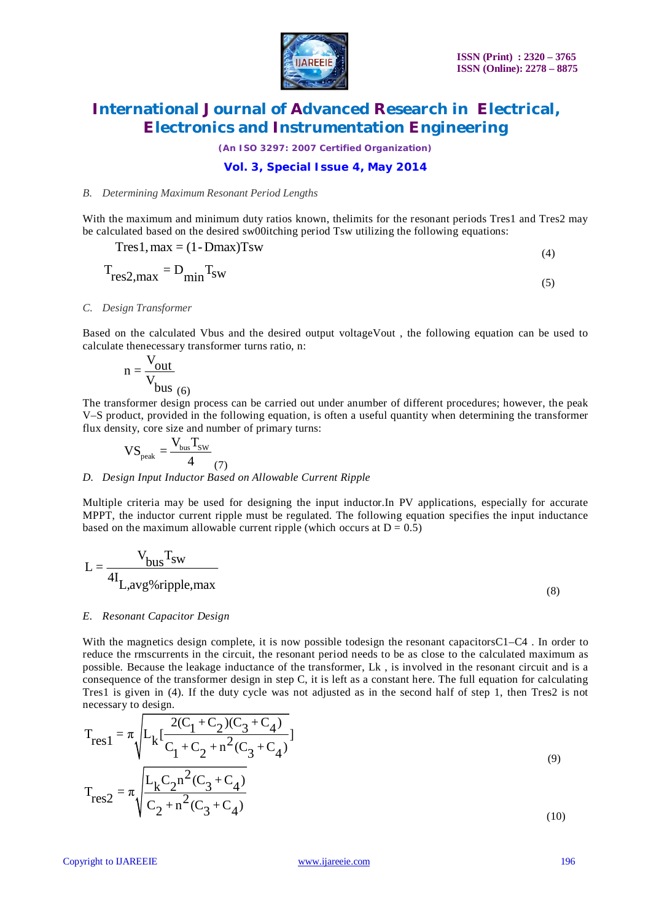

*(An ISO 3297: 2007 Certified Organization)*

### **Vol. 3, Special Issue 4, May 2014**

#### *B. Determining Maximum Resonant Period Lengths*

With the maximum and minimum duty ratios known, the limits for the resonant periods Tres1 and Tres2 may be calculated based on the desired sw00itching period Tsw utilizing the following equations:

$$
Tres1, max = (1 - Dmax)Tsw
$$
\n(4)

$$
T_{res2,max} = D_{min} T_{sw}
$$
 (5)

#### *C. Design Transformer*

Based on the calculated Vbus and the desired output voltageVout , the following equation can be used to calculate thenecessary transformer turns ratio, n:

$$
n = \frac{V_{out}}{V_{bus}}_{(6)}
$$

The transformer design process can be carried out under anumber of different procedures; however, the peak V–S product, provided in the following equation, is often a useful quantity when determining the transformer flux density, core size and number of primary turns:

$$
VS_{\text{peak}} = \frac{V_{\text{bus}} T_{\text{SW}}}{4} \tag{7}
$$

#### *D. Design Input Inductor Based on Allowable Current Ripple*

Multiple criteria may be used for designing the input inductor.In PV applications, especially for accurate MPPT, the inductor current ripple must be regulated. The following equation specifies the input inductance based on the maximum allowable current ripple (which occurs at  $D = 0.5$ )

$$
L = \frac{V_{bus}T_{sw}}{4I_{L,avg\% ripple,max}}
$$
 (8)

#### *E. Resonant Capacitor Design*

With the magnetics design complete, it is now possible todesign the resonant capacitorsC1–C4. In order to reduce the rmscurrents in the circuit, the resonant period needs to be as close to the calculated maximum as possible. Because the leakage inductance of the transformer, Lk , is involved in the resonant circuit and is a consequence of the transformer design in step C, it is left as a constant here. The full equation for calculating Tres1 is given in (4). If the duty cycle was not adjusted as in the second half of step 1, then Tres2 is not necessary to design.

$$
T_{res1} = \pi \sqrt{L_k \left[ \frac{2(C_1 + C_2)(C_3 + C_4)}{C_1 + C_2 + n^2 (C_3 + C_4)} \right]}
$$
  
\n
$$
T_{res2} = \pi \sqrt{\frac{L_k C_2 n^2 (C_3 + C_4)}{C_2 + n^2 (C_3 + C_4)}}
$$
 (9)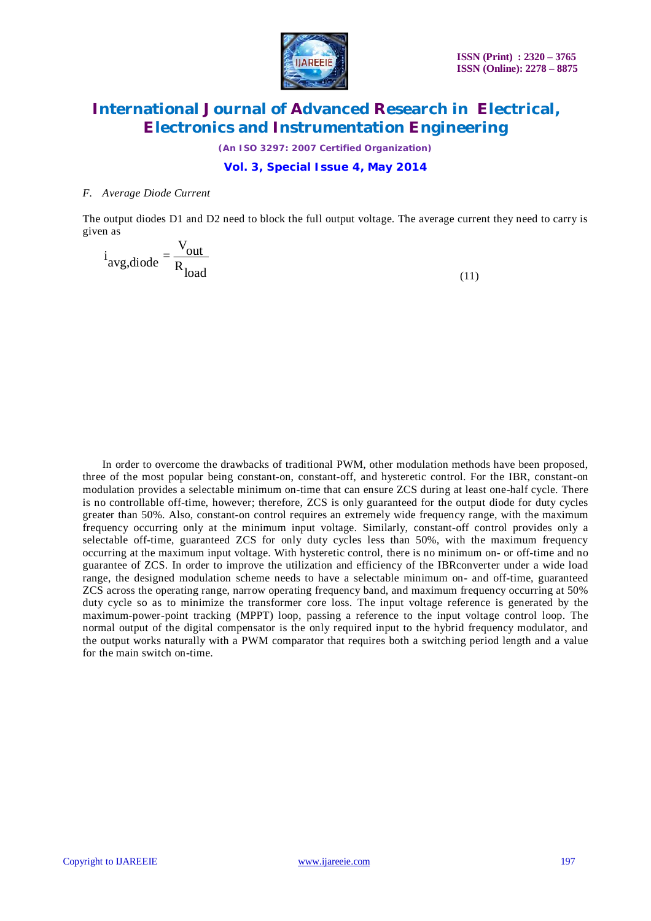

*(An ISO 3297: 2007 Certified Organization)*

### **Vol. 3, Special Issue 4, May 2014**

#### *F. Average Diode Current*

The output diodes D1 and D2 need to block the full output voltage. The average current they need to carry is given as

 $i_{avg, diode} = \frac{V_{out}}{R_{load}}$  $load$  (11)

In order to overcome the drawbacks of traditional PWM, other modulation methods have been proposed, three of the most popular being constant-on, constant-off, and hysteretic control. For the IBR, constant-on modulation provides a selectable minimum on-time that can ensure ZCS during at least one-half cycle. There is no controllable off-time, however; therefore, ZCS is only guaranteed for the output diode for duty cycles greater than 50%. Also, constant-on control requires an extremely wide frequency range, with the maximum frequency occurring only at the minimum input voltage. Similarly, constant-off control provides only a selectable off-time, guaranteed ZCS for only duty cycles less than 50%, with the maximum frequency occurring at the maximum input voltage. With hysteretic control, there is no minimum on- or off-time and no guarantee of ZCS. In order to improve the utilization and efficiency of the IBRconverter under a wide load range, the designed modulation scheme needs to have a selectable minimum on- and off-time, guaranteed ZCS across the operating range, narrow operating frequency band, and maximum frequency occurring at 50% duty cycle so as to minimize the transformer core loss. The input voltage reference is generated by the maximum-power-point tracking (MPPT) loop, passing a reference to the input voltage control loop. The normal output of the digital compensator is the only required input to the hybrid frequency modulator, and the output works naturally with a PWM comparator that requires both a switching period length and a value for the main switch on-time.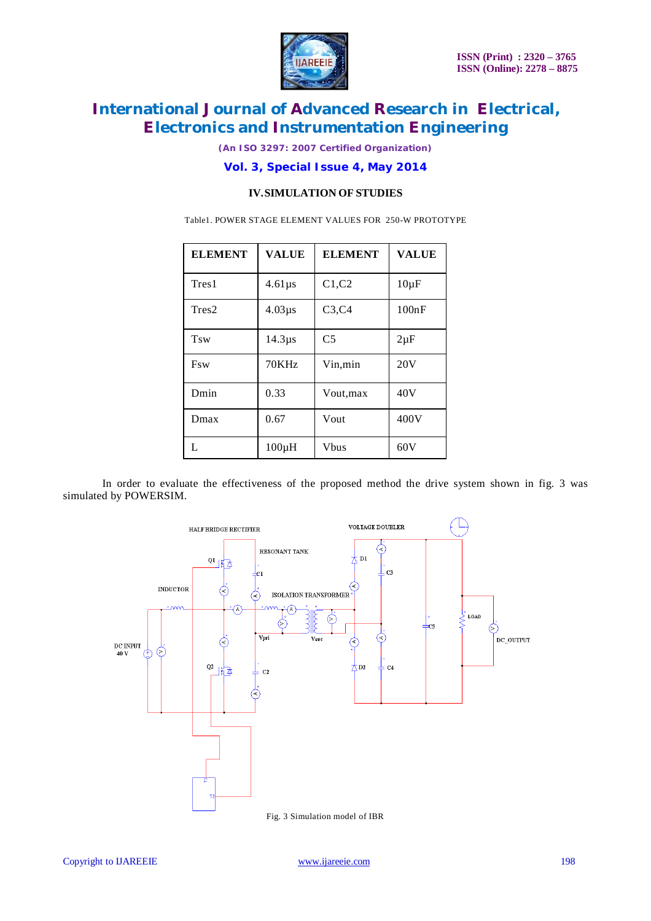

*(An ISO 3297: 2007 Certified Organization)*

### **Vol. 3, Special Issue 4, May 2014**

### **IV.SIMULATION OF STUDIES**

Table1. POWER STAGE ELEMENT VALUES FOR 250-W PROTOTYPE

| <b>ELEMENT</b> | <b>VALUE</b> | <b>ELEMENT</b> | <b>VALUE</b> |
|----------------|--------------|----------------|--------------|
| Tres 1         | $4.61\mu s$  | C1, C2         | $10\mu F$    |
| Tres2          | $4.03\mu s$  | C3, C4         | 100nF        |
| Tsw            | $14.3\mu s$  | C <sub>5</sub> | $2\mu F$     |
| <b>F</b> sw    | 70KHz        | Vin,min        | 20V          |
| Dmin           | 0.33         | Vout, max      | 40V          |
| Dmax           | 0.67         | Vout           | 400V         |
| L              | $100\mu H$   | <b>V</b> bus   | 60V          |

In order to evaluate the effectiveness of the proposed method the drive system shown in fig. 3 was simulated by POWERSIM.

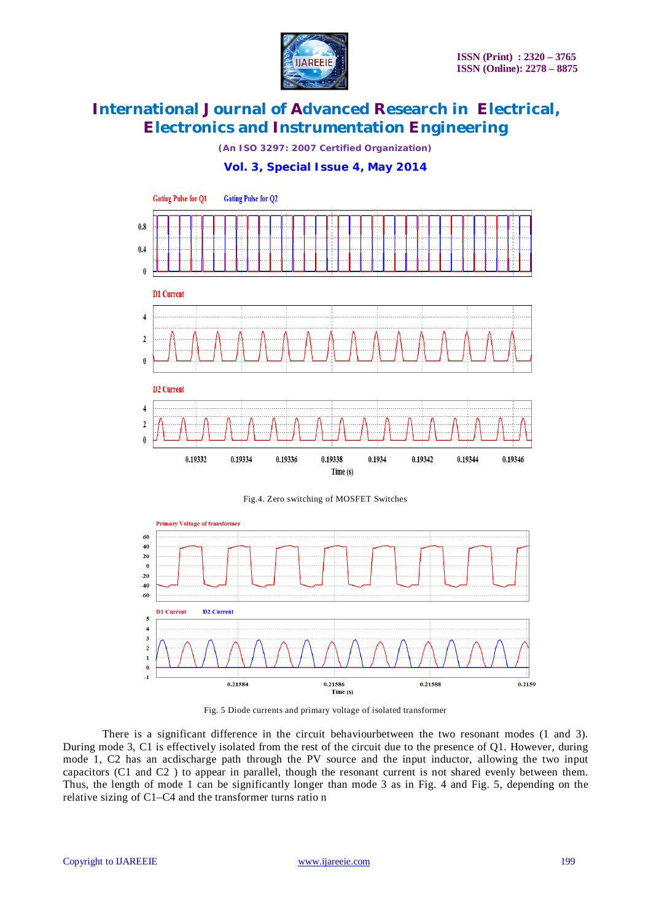

*(An ISO 3297: 2007 Certified Organization)*

**Vol. 3, Special Issue 4, May 2014**



Fig.4. Zero switching of MOSFET Switches



Fig. 5 Diode currents and primary voltage of isolated transformer

There is a significant difference in the circuit behaviourbetween the two resonant modes (1 and 3). During mode 3, C1 is effectively isolated from the rest of the circuit due to the presence of Q1. However, during mode 1, C2 has an acdischarge path through the PV source and the input inductor, allowing the two input capacitors (C1 and C2 ) to appear in parallel, though the resonant current is not shared evenly between them. Thus, the length of mode 1 can be significantly longer than mode 3 as in Fig. 4 and Fig. 5, depending on the relative sizing of C1–C4 and the transformer turns ratio n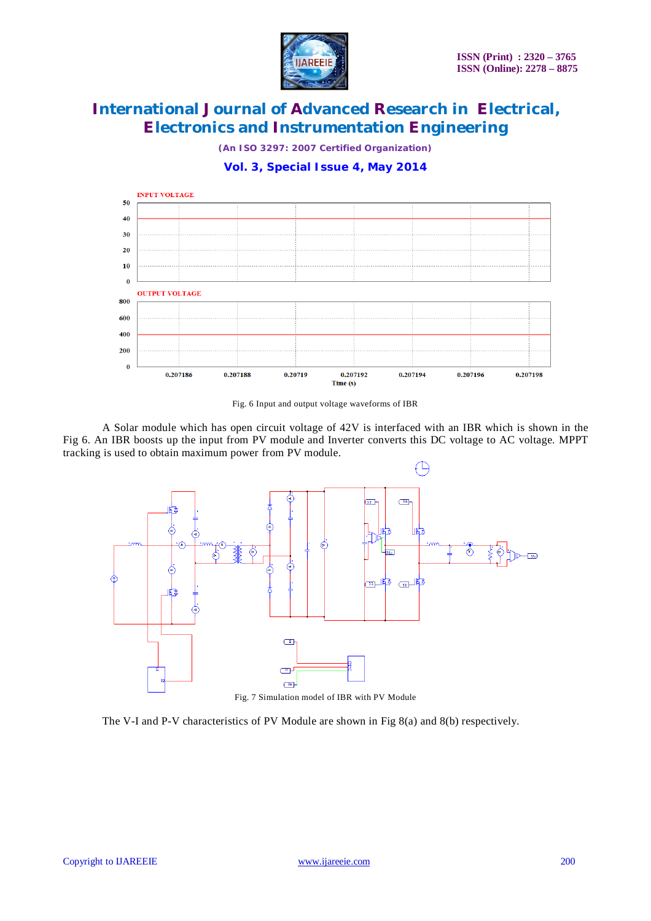

*(An ISO 3297: 2007 Certified Organization)*

**Vol. 3, Special Issue 4, May 2014**



Fig. 6 Input and output voltage waveforms of IBR

A Solar module which has open circuit voltage of 42V is interfaced with an IBR which is shown in the Fig 6. An IBR boosts up the input from PV module and Inverter converts this DC voltage to AC voltage. MPPT tracking is used to obtain maximum power from PV module.



The V-I and P-V characteristics of PV Module are shown in Fig 8(a) and 8(b) respectively.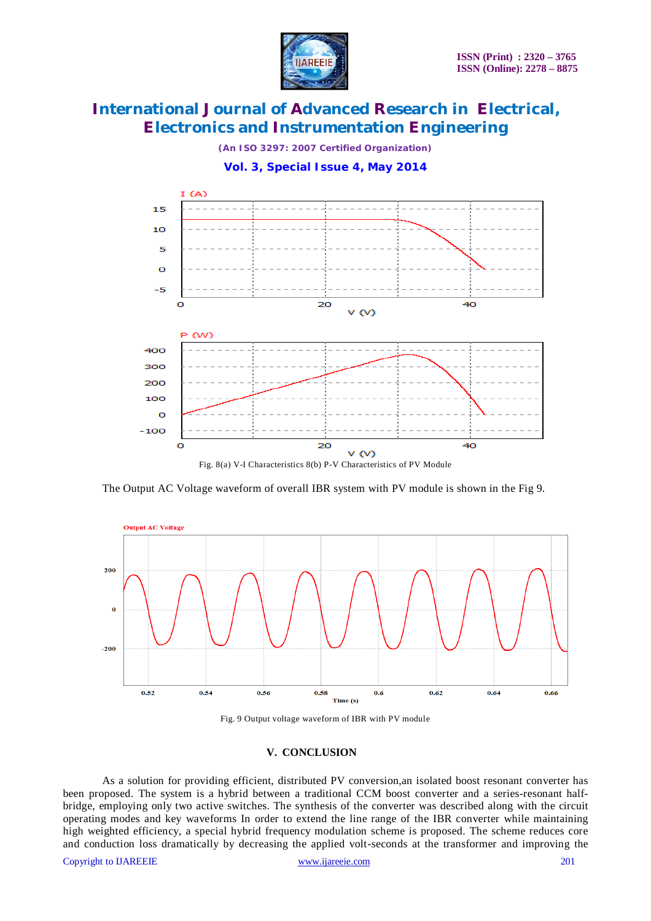

*(An ISO 3297: 2007 Certified Organization)*



**Vol. 3, Special Issue 4, May 2014**

Fig. 8(a) V-I Characteristics 8(b) P-V Characteristics of PV Module

The Output AC Voltage waveform of overall IBR system with PV module is shown in the Fig 9.





#### **V. CONCLUSION**

As a solution for providing efficient, distributed PV conversion,an isolated boost resonant converter has been proposed. The system is a hybrid between a traditional CCM boost converter and a series-resonant halfbridge, employing only two active switches. The synthesis of the converter was described along with the circuit operating modes and key waveforms In order to extend the line range of the IBR converter while maintaining high weighted efficiency, a special hybrid frequency modulation scheme is proposed. The scheme reduces core and conduction loss dramatically by decreasing the applied volt-seconds at the transformer and improving the